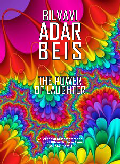# BILVAVI

# THE POWER

**Collection of Drashas from the Author of Bilvavi Mishkan Evneh [02.24.2022 V1]**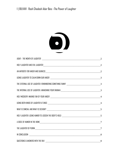

|  |   | THE EXTERNAL USE OF LAUGHTER: REMEMBERING SOMETHING FUNNY __________________________________3 |  |
|--|---|-----------------------------------------------------------------------------------------------|--|
|  |   |                                                                                               |  |
|  |   |                                                                                               |  |
|  |   |                                                                                               |  |
|  |   |                                                                                               |  |
|  |   |                                                                                               |  |
|  |   |                                                                                               |  |
|  | 8 |                                                                                               |  |
|  |   |                                                                                               |  |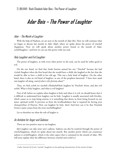# Adar Beis – The Power of Laughter

### <span id="page-2-0"></span>Adar – The Month of Laughter

With the help of Hashem, we are now in the month of *Adar Beis*. Here we will continue what we began to discuss last month in *Adar Aleph*, where we spoke about the power of *simchah* /happiness. Now we will speak about another power found in the month of Adar, *sechok*/laughter, [1](#page-2-3) and how we can use this power with our soul.

### <span id="page-2-1"></span>Holy Laughter and Evil Laughter

The power of laughter, as with every other power in the soul, can be used for either good or evil.

On the one hand, we find that Sarah Imeinu named her son "*Yitzchok*" because she had *t'zchok* /laughter when she first heard that she would have a child; she laughed at the fact that she would be able to have a child in her old age. This was a holy kind of laughter. On the other hand, there is also an evil kind of laughter, as one of the prophets lamented: *"I have been made into laughter all along, and of what is this festivity about?"*

Thus, we find *sechok* (or *tzechok*) *d'kedushah*/holy laughter by Yitzchok *Avinu*, and also evil *sechok*. What is holy laughter, and what is evil laughter?

First of all, before we explain when laughter is holy and when it is evil, we should know that it is difficult to understand how laughter can be holy. Laughter is usually associated with frivolity, which causes us to stop being serious; it is something that deters us from being focused on our inner, spiritual world. It prevents us from the levelheadedness that is required for having *yiras shomayim*/fear of Heaven. How can laughter be holy, then? And how can it be that Yitzchok Avinu's name comes from the term *tzechok/*laughter?

Let us therefore see what the role of laugher is.

### <span id="page-2-2"></span>An Antidote for Anger and Sadness

 $\overline{a}$ 

There are two positive ways to use laughter.

(1) Laughter can take away one's sadness. Sadness can also be resolved through the power of *simcha*/happiness, which we spoke about last month. But another power which can counteract sadness is *sechok*/laughter, which is the other aspect that is contained in the month of Adar. (We will soon explain what the difference between *simchah* and *sechok* is.)

<span id="page-2-3"></span><sup>1</sup> Sefer Yetzirah (5:5) lists "sechok" (laughter) as the defining characteristic of the month of Adar.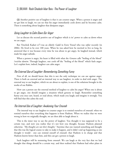(2) Another positive use of laughter is that it can counter anger. When a person is angry and we get him to laugh, we can see that his anger immediately cools down and he becomes calm. There is something about laughter that dissipates anger.

### <span id="page-3-0"></span>Using Laughter to Calm Down Our Anger

Let us discuss the second positive use of laughter which is its' power to calm us down when we are angry.

Rav Yitzchok Kaduri zt"l was an elderly *Gadol* in Eretz Yisrael who was *niftar* recently (in 2006). He lived to be over 100 years. When he was asked how he merited to live so long, he answered that it was because every time he was about to get angry, he laughed instead, which made his anger subside.

When a person is angry, his heart is filled with what the *Gemara* calls "boiling of the blood" /*resichas damim*. Through laughter, one cools off the "boiling of the blood" which fuels anger. Let's explain how, indeed, laughter can calm anger.

### <span id="page-3-1"></span>The External Use of Laughter: Remembering Something Funny

First of all, we should know that this is not the only technique we can use against anger. There is both an external and an internal way to use laughter, in order to deal with anger. The external way to use laughter, which we are about to explain, is one of the solutions brought in the works of our Rabbis.

How can a person use the external method of laughter to calm his anger? When one is about to get angry, one should imagine a situation which getsone to laugh. Remember something funny you once saw, heard, or read about, which made you laugh; and imagine it strongly. You will find that this calms the soul.

### <span id="page-3-2"></span>The Internal Use of Laughter: Awakening Your Emunah

The internal way to use laughter to counter anger is to remind ourselves of *emunah,* when we remind ourselves that everything that happens is from Hashem. When we realize that we were wrong in how we originally thought, we are then able to laugh about it.

This is the inner way to use the power of laughter. You thought it was supposed to be a certain way, and now you realize that it's not how you thought, because Hashem planned otherwise. *"My thoughts are not their thoughts."* Anytime that one wanted something and thought that this was the logical course to take to make it happen, and it didn't end up happening as one thought it would - one can remind oneself of *emunah,* that Hashem is in charge and that Hashem knows better than him, and this can get a person to laugh.

Such laughter will be stemming from *emunah*. We can laugh at the very fact that we had thought that things should be a certain way, and then realized that Hashem had other plans in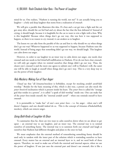mind for us. One realizes, "Hashem is running the world, not me!" It can actually bring you to laughter – a holy and deep laughter that stems from a realization of *emunah*.

We will give a parable that illustrates this idea. If a lion and a cat get into a fight and the cat got away alive, should the cat feel bad and cry about the fact that the lion defeated it? Instead of crying, it should laugh, because it is laughable for the cat to want to win a fight with a lion. Why is this laughable? Because when things don't go our way, this was how it was supposed to happen, so there is no reason to cry; instead, it can awaken us to laughter.

The lesson we can take from the parable of the cat and lion is: why should we cry when things don't go our way? Whatever happened to us was supposed to happen, because Hashem runs the world. Instead of being angry that something didn't go our way, we should laugh. This laughter can calm down our anger.

However, in order to use laughter in an inner way to calm down our anger, one needs clear *emunah* and one needs to feel *bittul*/self-nullification to Hashem. If we do not have clear *emunah*, we will only get angrier when we remind ourselves that things didn't go our way. Thus, the clearer one's *emunah* is and the more one agrees to submit one's will to Hashem's will, the easier one will be able to laugh at oneself when things don't go one's way. This is a very deep way to use the power of holy laughter.

### <span id="page-4-0"></span>Holy Mockery: Making Fun of Your Anger

*Chazal* say that "all *leitzanus*/mockery is forbidden, except for mocking *avodah zarah*/idol worship." Besides for the basic meaning of this, which is also true, a person can also mock the *yetzer hora*/evil inclination which is present inside his heart. The *yetzer hora* is called the "strange god that resides in a person", it is called "a spark of idol worship" inside one. One can make fun of the *yetzer hora* inside oneself, the "internal *avodah zarah*" - when one reminds oneself to have *emunah.*

It is permissible to "make fun" of one's *own yetzer hora* – i.e. his anger - when one's will doesn't happen; and one should indeed do so. This is the concept of *leitzanus d'kedushah/*holy mockery, which can remove anger.

### <span id="page-4-1"></span>Using Both Kinds of Laughter At Once

To summarize thus far, there are two ways to calm ourselves down when we are about to get upset – an external way to use laughter, and an inner way. The external way is to remind ourselves of something funny. The internal way is to summon forth our *emunah* and laugh at ourselves that Hashem had different thoughts and plans to the ones we had.

We must emphasize that the external method of remembering something funny should be used only in tandem with the inner part of the solution which is reminding ourselves to have *emunah*. Every matter has an external and an internal layer to it, and we need both of these aspects. Therefore, we need to make use of both the external and internal aspects, when we use the power of laughter. If one just uses the external part and doesn't use *emunah*, this is like a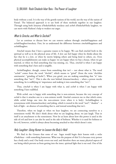body without a soul. It is the way of the gentile nations of the world, not the way of the nation of Yisrael. The balanced approach is to use both of these methods together in our laughter. Through using both *leitzanus d'kedushah/*holy mockery and *sechok d'kedushah*/holy laughter, we can merit with Hashem's help to weaken our anger.

### <span id="page-5-0"></span>What Is Simcha, and What Is Sechok?

Let us continue to discuss how we can remove sadness through *simchah*/happiness and *sechok*/laughter/mockery. First, let us understand the difference between *simchah/*happiness and *sechok/*laughter.

*Simchah* means that I have a genuine reason to be happy. We can find *simchah* both in the spiritual as well as in the physical areas of life. A Jew can feel happy when he thinks about the fact that he is a Jew, or when he merits helping others and being kind to others, etc. Even physical accomplishments can make us happy: we are happy when we buy a house, when we get married, or when we find something that was missing, etc. Thus, *simchah* is when I am happy with something that's here and is tangible.

*Sechok*/laughter, though, comes from something that isn't – not about what is. The word "*sechok"* comes from the word *"shechok"*, which means to "grind" (from the term '*shechikas samimanim',* "grinding of herbs"). When you grind, you are making something that "is" into something that "isn't". This is also the root behind *leitzanus*/mockery – when a person mocks something, he is nullifying its' importance and making it into something that "isn't".

Thus, *simchah* is when I am happy with what is, and *sechok* is when I am happy with something I have nullified.

With *sechok,* one is happy with something that is non-existent, because the very concept of *sechok* is that it attaches one to a non-existent world. *Simchah* connects me to that which exists, while *sechok* brings one into the non-existent (even when it is holy). *Sechok/*laughter is synonymous with *leitzanus/*mockery and joking, which is rooted in the word "*tzeil",* "shadow" - a lack of light - an absence of something that is, and instead something that isn't.

Therefore, when we laugh or when we hear laughter, we are connecting ourselves to a nonexistent world. We don't think about what we are laughing about, we just laugh. That in itself is an attachment to the nonexistent. Now let us learn about how this power is used in the side of evil and how it can also be used in the side of holiness. Whether it is used for holiness or for evil, however, *sechok* is always about becoming attached to that which doesn't exist.

### <span id="page-5-1"></span>Holy Laughter: Using Humor to Loosen the Body's Hold

We find in the *Gemara* that some of our Sages would begin their lessons with a *milsa d'bedichusa* – with something humorous. What was the purpose of this? It is because every person has a body and a soul. Our body covers our soul, and therefore there are many physical aspects of our being which prevent us from getting into the inner, spiritual light that is our soul. One of the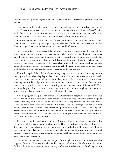ways to shed our physical layers is to use the power of *sechok*/*leitzanus*/laughter/mockery for holiness.

How does it work? Laughter connects us to the nonexistent, which in turn sheds our physical layers. We can then immediately return to our inner reality, the world of our *neshamah*/Divine soul. This is the purpose of holy laughter: it can help us free ourselves, to have *purkan/*freedom from our normal physical restraints, and connect us directly to our inner world.

Soon we will see how this is both used for evil and holiness; but this is the concept of how laughter works. It loosens up our physicality, and when used for holiness, it enables us to go free from our physical restraints and enter into our inner world of the soul.

Based upon this, let us understand the following. If someone is already solidly anchored and connected to his inner world, using laughter can help him get past his physicality, and enter directly into his inner world. But if a person is not yet in touch with his inner world, or if he has a very minimal revelation of it, laughter will disconnect him from physicality. Where does he return to afterwards? He returns to the materialism wherein he is found. Laughter not only doesn't help him at all, it even damages him internally, because he gets used to frivolity which leads him towards sin, and he gets used to connecting to the nonexistent.

This is the depth of the difference between holy laughter and evil laughter. Holy laughter was used by the Sages when they began their Torah lesson. It is used by someone who is already connected to his inner world, where he can use laughter in order to enter directly into the soul; after laughter, this kind of person can maintain his connection to his inner world. But those who have no inner world to connect to, are not using laughter to enter into their inner world. They are using laughter simply to escape sadness, and when they are done laughing, they return to where they were before – and their laughter did nothing for them.

Take sleeping, for example. There are two general reasons why people sleep. A person who has no connection to his inner world sleeps because he loves to sleep. An inner person sleeps to energize his body so that he will be able to get up the next day refreshed to serve the Creator. There are some people who sleep because they want to feel the lethargy of it, which further attaches them to the heaviness of materialism and physicality. On this it is said, *"Lazy one, until when will you sleep?*" But a person who cares about his spiritual state will go to sleep because he needs to refresh his body, so that he can serve Hashem properly. He enters into sleep so that he can return to his inner world afterwards.

The same is true for laughter and mockery. Most people enjoy mockery because they enjoy the humor and they get a kind of vitality from it. This is the evil use of laughter and mockery. But if a person uses mockery in order to free himself from the body's hold, through using humor, such humor is "holy laughter." It is calming the body and helping him reveal the inner world of his soul. Thus, if a person is connected to his inner world and he uses humor to loosen up his body, this is "holy laughter".

How indeed can we know if we used laughter for the right reasons or not? We can see what happens afterwards. What was I like before the laughter, and what is I like afterwards? If a person finds that he is more frivolous about his *ruchniyus* after he is finished with his fit of laughter, it is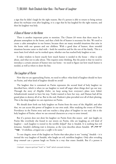a sign that he didn't laugh for the right reasons. But if a person is able to return to being serious about his *ruchniyus* even after laughing, it is a sign that he has laughed for the right reasons, and then his laughter was holy.

### <span id="page-7-0"></span>A Dose of Humor in the Home

There is another important point to mention. The *Chazon Ish* wrote that there must be a pleasant atmosphere in the home, and that a little bit of humor is necessary for this. We need to create a calm atmosphere in our homes, because there are many stressful situations that arise in the home with our spouses and our children. With a good dose of humor, these stressful situations become easier to deal with – both for ourselves and for the rest of the family. This is a more basic level which can be worked upon, whether one has reached holy laughter or not.

It takes wisdom to know exactly how much humor is needed in the house – what to joke about, and what not to joke about. This requires some thinking. But the point is that we need to introduce a certain amount of humor into our home - we need to figure out how much humor is needed, as well as where to draw the line.

### <span id="page-7-1"></span>The Laughter of Purim

 $\overline{a}$ 

Now that we are approaching Purim, we need to reflect: what kind of laughter should we have on Purim, and what kind of laughter should we avoid?

The laughter that is contained on Purim represents the second kind of holy laughter we described here, which is when we use laughter to ward off anger when things don't go our way. Through the story of *Megillas Esther*, we keep seeing how everyone's plans were foiled. Achashveirosh wanted to have his way, Vashti wanted to have her way, and Haman had all his grand plans to destroy all of us. But in the end, Hashem's plan prevailed over all of their plotting. This is the deep laughter we can experience on Purim.

We should draw forth our holy laughter on Purim from the story of the *Megillah*, and after that, we can access this power of laughter in our own souls. After studying the events of Divine Providence in the Purim story and one reaches a deep place of laughter in our soul, this is the holy laughter of Purim, where we use external characters as a way to enter inward.

But if a person does not draw his laughter on Purim from this source and just laughs on Purim like everybody else found in our streets on Purim, who are laughing an evil kind of laughter – such laughter is rooted in the terrible *kelipah*<sup>[2](#page-7-2)</sup> that is Amalek. It is nothing but evil *leitzanus*. Amalek's defining trait is *leitzanus*, as the verse describes about Amalek: **לץ ,יהיר זד**" **"שמו***"* –*A rebellious, arrogant one; a scoffer is his name."*

To our chagrin, most of the laughter on Purim that takes place is not "erasing" Amalek – it is instead the very laughter of Amalek, who laughs an evil, mirthless laughter. Only after revealing deep *emunah* can a person laugh on Purim in a way that erases Amalek. But if a person is

<span id="page-7-2"></span><sup>2</sup> kelipah - impure spiritual "husk" or "shell" which conceals holiness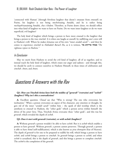'connected with Haman' [through frivolous laughter that doesn't emanate from *emunah*] on Purim, his laughter is not being *moche/*erasing Amalek, and he is rather being *mechayeh*/sustaining Amalek, *chas v'shalom*. Therefore, as Purim draws closer, we should reflect into what kind of laughter we want to have on Purim. Do we want inner laughter or do we want superficial, evil laughter?

The holy kind of laughter which brings a person to have more *emunah* is the laughter that brings a person to the true *simchah.* It is when one laughs at oneself, by nullifying one's own will to Hashem's will. Where he makes *leitzanus* out of his own "inner *avodah zarah"* – and then he comes to experience *simchah* in *HaKadosh Baruch Hu*, as it is written, **'בה צדיקים שמחו***,"The righteous rejoice in Hashem."*

### <span id="page-8-0"></span>In Conclusion

May we merit from Hashem to avoid the evil kind of laughter, all of us together, and to instead reach the holy kind of laughter, which erases our anger and sadness - and through this, we should be *zoche* to connect ourselves to Hashem Himself, in these times of celebration and *simchah. Amen*, and *Amen*.

## <span id="page-8-1"></span>Questions & Answers with the Rav

### **Q1:** *How can Yitzchok Avinu have both the middos of "gevurah" (restraint) and "sechok" (laughter)? Why isn't this a contradiction?*

A: Excellent question. *Chazal* say that "Who is strong? The one who overcomes his inclination." When a person overcomes an aspect of his character, any emotion or thought, he gets rid of the inner "*avodah zarah"* within him – the spark of idol worship which is the antithesis to *emunah* in Hashem, the "other gods" which a person serves within himself: the drives of his *yetzer hora*. Thus, Yitzchok Avinu overcame these "other gods", and this was his *gevurah*, which revealed the depth of *sechok*.

### **Q2:** *Does it start with gevurah (restraint), or with sechok (laughter)?*

**A:** Without *gevurah* a person wouldn't be able to have *sechok*. But it is *sechok* which enables a person to have *gevurah.* Without *gevurah*, a person cannot persevere. Through *gevurah*, a person is able to have *bittul* (self-nullification), which is also known as *yiras shomayim* (fear of Heaven). The depth of *gevurah* is for one to be prepared to nullify his will, which brings a person to have *sechok*, and *sechok* brings a person to *simchah*. So *gevurah* brings a person to *sechok*, and when *sechok* is actualized, this is the depth of *gevurah*, and this brings a person to complete *simchah.* The *sechok* is the completion of the *gevurah*.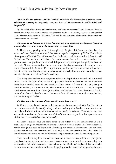### **Q3:** *Can the Rov explain what the "sechok" will be in the future when Moshiach comes, which is what we say in the possuk,* **פינו שחוק ימלא אז***")Then our mouths will be filled with laughter")?*

**A**: The *sechok* of the future will be that there will be no more free will, and then we will realize that all the things that ever happened in history the world are all a joke, because we will see that it was Hashem who made it all happen. This will be the complete, ultimate laughter which will emanate from our *emunah*.

### **Q4:** *How do we balance seriousness (working hard on ourselves) and laughter (based on emunah that everything is in the hands of Hashem) in our life?*

**A:** That is a very good question. It is complicated. To give a brief answer to this, there is a verse, **לשון מענה' ומה לב מערכי לאדם**")*To a man belongs the arrangements of his heart*"); the depth of our power of *bechirah* (free will) comes from the heart's search for the truth and from the will for holiness. The rest is up to Hashem. Our entire *avodah,* from a deeper understanding, is to perform deeds that purify our heart which brings us to the greatest possible purity of heart we can reach. All that we can do is to choose to act correctly when we access the depth of our heart, and that is our role in *bechirah*. When a person truly purifies his heart, his actions will surely be the will of Hashem. But the actions we then do are not really from our own free will; they are done by Hashem, for Hashem "does" everything.

If so, being that Hashem does everything, what is the depth of our *bechirah* and our *avodah* on this world? The depth of our *avodah* is to purify our heart as much as we can, and to perform deeds from a purified heart. But our actual *avodah* is always **"לב מערכי** –"it is only that part which is "*to man*", in our hands to do. That is entire role on this world, and it is only this aspect which we can get reward for. Although it is ultimately Hashem Who does all actions, it is still a result of our free will, therefore, we will get reward for it. Therefore, a person has to try his best, and the rest is up to Hashem.

### **Q5:** *How can a person know if his motivations are pure or not?*

**A:** This is a complicated matter, and there are two factors involved with this. Part of our motivations we can clearly identify as holy, and we can clearly identify other motivations that are not holy. All of that is found within our conscious (*muda*, or *hakarah*). However, we also have subconscious motivations (*tat-muda,* or *tat-hakarah*), and even deeper than that layer is the area of above our conscious (*al-hakarah*, or *al-muda*).

The areas of subconscious and above-conscious are hidden from our consciousness and it is subtle *avodah* to get to know them, and there are several methods explained of how to access it. Firstly, though, we need to begin with identifying our conscious motivations. We can know clearly what we want and what we don't want, what we like and what we don't like. Using this area of our consciousness, we can feel if we are having a pure motivation for something or not.

Now, in order to tap into our subconscious and above-conscious, this is a very deep and complicated matter to know, and our greatest leaders worked their entire lives at uncovering their subconscious and above-conscious. In general terms, Rav Dessler zt"l explained that we are able to know what our subconscious motives are by paying attention to our quickly passing thoughts.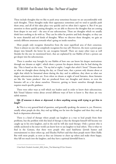These include thoughts that we like to push away sometimes because we are uncomfortable with such thoughts. Those thoughts make their appearance sometimes and we tend to quickly push them away, and all of this takes place very quickly and we often don't register it. But if we pay attention to those quickly passing thoughts, we are able to discover the thoughts that are coming from deeper in our soul – the area of our subconscious. These are thoughts which we usually think have nothing to do with us. They can be either be positive and holy thoughts, or they can be more shameful and evil kinds of thoughts. When we discover those thoughts, we gain an entirely different awareness towards what's going on inside ourselves.

Most people only recognize themselves from the most superficial area of their conscious. There is almost no one who completely recognizes his true self. However, the more a person goes deeper into himself, the better he can recognize himself. There are many other ways as well (besides for the one we mentioned here), that are explained by our Rabbis of how a person can get deeper into his subconscious.

There is another way brought by our Rabbis of how one can know his deeper motivations: through our dreams at night<sup>[3](#page-10-0)</sup>, which show a person his deepest desires that he had during the day. This is based on the verse, *"On my bed at nights, I sought that which I loved."* Dreams show us what we thought about during the day, as *Chazal* state, that a person only dreams about at night that which he fantasized about during the day; and in addition, they show us what our deeper subconscious desires are. Even when we dream at night of total fantasies, those fantasies are like the 'waste products' that are produced from our thoughts and desires, so even the fantasies tell us a lot about ourselves. However, getting to know ourselves through dreams requires much specific guidance.

There were other ways as well which our leaders used in order to know their subconscious. Reb Yisrael Salanter writes about several different ways of how to know it. But these are very subtle matters.

### **Q6:** *If someone is down or depressed, is there anything wrong with trying to get him to laugh?*

**A:** This is a very general kind of question, and generally speaking, the answer is, yes. However, usually when people do this, they end up falling too far into the laughter and then they end up back in depression afterwards.

There is a kind of therapy where people use laughter as a way to heal people from their problems, but the problem with this kind of therapy is that the therapist himself will become too caught up in his own laughter, and in the end he will also need therapy. Only a person who is solidly anchored to his inner world can know how to use laughter to heal others. This is what we find in the Gemara, that there were people who used *badchanus* (Jewish humor and entertainment) to cheer others up, and Eliyahu HaNavi said that these people merit *Olam HaBa*. But with most people, as soon as they use *leitzanus* to cheer up others and make them happy, they fall too much into the laughter, and they have a spiritual downfall from it.

 $\overline{a}$ 

<span id="page-10-0"></span><sup>3</sup> See Rosh Chodesh Avodah\_009\_Kislev\_The Meaning Of Our Dreams